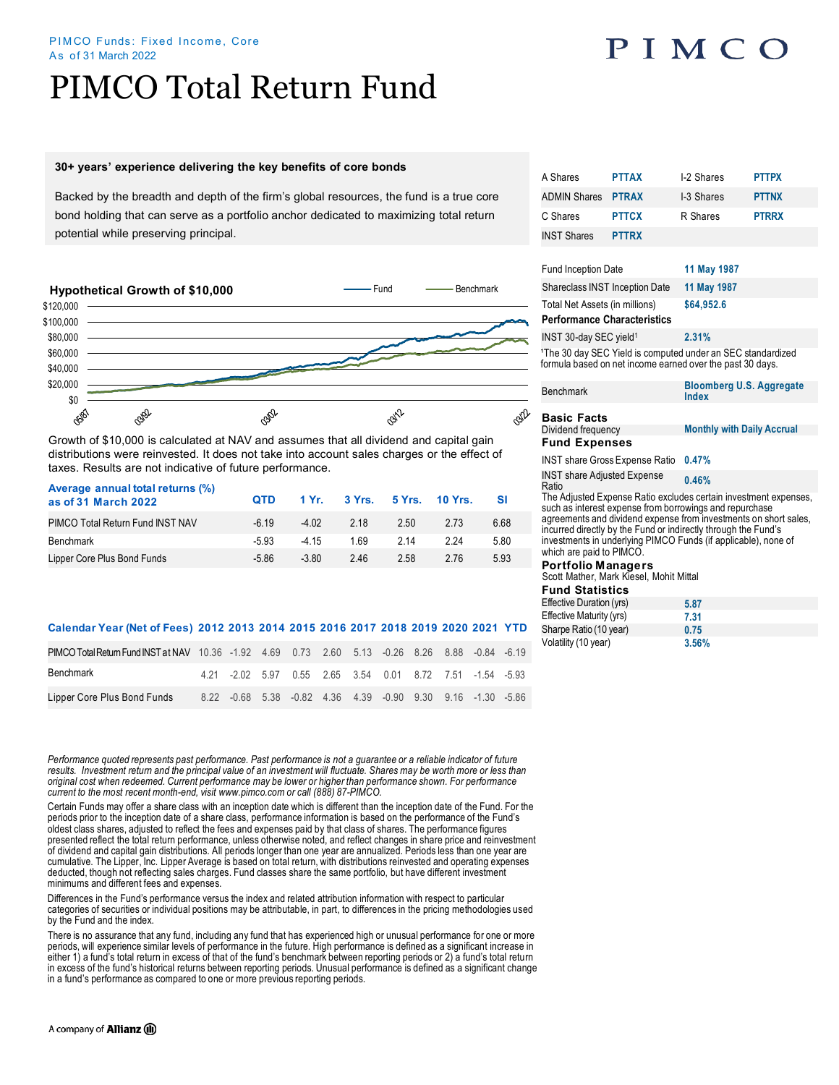#### PIMCO Funds: Fixed Income, Core As of 31 March 2022

## PIMCO Total Return Fund

### **30+ years' experience delivering the key benefits of core bonds**

Backed by the breadth and depth of the firm's global resources, the fund is a true core bond holding that can serve as a portfolio anchor dedicated to maximizing total return potential while preserving principal.



Growth of \$10,000 is calculated at NAV and assumes that all dividend and capital gain distributions were reinvested. It does not take into account sales charges or the effect of taxes. Results are not indicative of future performance.

| Average annual total returns (%)<br>as of 31 March 2022 | <b>OTD</b> |         | 1 Yr. 3 Yrs. 5 Yrs. 10 Yrs. |      |      | - SI |
|---------------------------------------------------------|------------|---------|-----------------------------|------|------|------|
| PIMCO Total Return Fund INST NAV                        | $-6.19$    | $-4.02$ | 2 18                        | 2.50 | 2.73 | 6.68 |
| Benchmark                                               | $-5.93$    | $-415$  | 169                         | 2 14 | 224  | 5.80 |
| Lipper Core Plus Bond Funds                             | $-5.86$    | $-3.80$ | 246                         | 2.58 | 2.76 | 5.93 |

### **Calendar Year (Net of Fees) 2012 2013 2014 2015 2016 2017 2018 2019 2020 2021 YTD**

| PIMCO Total Return Fund INST at NAV 10.36 -1.92 4.69 0.73 2.60 5.13 -0.26 8.26 8.88 -0.84 -6.19 |  |  |  |                                                             |  |  |
|-------------------------------------------------------------------------------------------------|--|--|--|-------------------------------------------------------------|--|--|
| Benchmark                                                                                       |  |  |  | 4.21 -2.02 5.97 0.55 2.65 3.54 0.01 8.72 7.51 -1.54 -5.93   |  |  |
| Lipper Core Plus Bond Funds                                                                     |  |  |  | 8.22 -0.68 5.38 -0.82 4.36 4.39 -0.90 9.30 9.16 -1.30 -5.86 |  |  |

*Performance quoted represents past performance. Past performance is not a guarantee or a reliable indicator of future*  results. Investment return and the principal value of an investment will fluctuate. Shares may be worth more or less than *original cost when redeemed. Current performance may be lower or higher than performance shown. For performance current to the most recent month-end, visit www.pimco.com or call (888) 87-PIMCO.*

Certain Funds may offer a share class with an inception date which is different than the inception date of the Fund. For the periods prior to the inception date of a share class, performance information is based on the performance of the Fund's oldest class shares, adjusted to reflect the fees and expenses paid by that class of shares. The performance figures presented reflect the total return performance, unless otherwise noted, and reflect changes in share price and reinvestment of dividend and capital gain distributions. All periods longer than one year are annualized. Periods less than one year are cumulative. The Lipper, Inc. Lipper Average is based on total return, with distributions reinvested and operating expenses deducted, though not reflecting sales charges. Fund classes share the same portfolio, but have different investment minimums and different fees and expenses.

Differences in the Fund's performance versus the index and related attribution information with respect to particular categories of securities or individual positions may be attributable, in part, to differences in the pricing methodologies used by the Fund and the index.

There is no assurance that any fund, including any fund that has experienced high or unusual performance for one or more periods, will experience similar levels of performance in the future. High performance is defined as a significant increase in either 1) a fund's total return in excess of that of the fund's benchmark between reporting periods or 2) a fund's total return in excess of the fund's historical returns between reporting periods. Unusual performance is defined as a significant change in a fund's performance as compared to one or more previous reporting periods.

| A Shares                                                                                                                                                                                                                                                                                                                                                        | <b>PTTAX</b>                          | I-2 Shares                                      | <b>PTTPX</b> |  |  |  |  |
|-----------------------------------------------------------------------------------------------------------------------------------------------------------------------------------------------------------------------------------------------------------------------------------------------------------------------------------------------------------------|---------------------------------------|-------------------------------------------------|--------------|--|--|--|--|
| <b>ADMIN Shares</b>                                                                                                                                                                                                                                                                                                                                             | <b>PTRAX</b>                          | I-3 Shares                                      | <b>PTTNX</b> |  |  |  |  |
| C Shares                                                                                                                                                                                                                                                                                                                                                        | <b>PTTCX</b>                          | R Shares                                        | <b>PTRRX</b> |  |  |  |  |
| <b>INST Shares</b>                                                                                                                                                                                                                                                                                                                                              | <b>PTTRX</b>                          |                                                 |              |  |  |  |  |
|                                                                                                                                                                                                                                                                                                                                                                 |                                       |                                                 |              |  |  |  |  |
| <b>Fund Inception Date</b>                                                                                                                                                                                                                                                                                                                                      |                                       | 11 May 1987                                     |              |  |  |  |  |
| Shareclass INST Inception Date                                                                                                                                                                                                                                                                                                                                  |                                       | 11 May 1987                                     |              |  |  |  |  |
| Total Net Assets (in millions)                                                                                                                                                                                                                                                                                                                                  |                                       | \$64,952.6                                      |              |  |  |  |  |
| <b>Performance Characteristics</b>                                                                                                                                                                                                                                                                                                                              |                                       |                                                 |              |  |  |  |  |
| INST 30-day SEC yield <sup>1</sup>                                                                                                                                                                                                                                                                                                                              |                                       | 2.31%                                           |              |  |  |  |  |
| <sup>1</sup> The 30 day SEC Yield is computed under an SEC standardized<br>formula based on net income earned over the past 30 days.                                                                                                                                                                                                                            |                                       |                                                 |              |  |  |  |  |
| <b>Benchmark</b>                                                                                                                                                                                                                                                                                                                                                |                                       | <b>Bloomberg U.S. Aggregate</b><br><b>Index</b> |              |  |  |  |  |
| <b>Basic Facts</b>                                                                                                                                                                                                                                                                                                                                              |                                       |                                                 |              |  |  |  |  |
| Dividend frequency                                                                                                                                                                                                                                                                                                                                              |                                       | <b>Monthly with Daily Accrual</b>               |              |  |  |  |  |
| <b>Fund Expenses</b>                                                                                                                                                                                                                                                                                                                                            |                                       |                                                 |              |  |  |  |  |
|                                                                                                                                                                                                                                                                                                                                                                 | <b>INST share Gross Expense Ratio</b> | 0.47%                                           |              |  |  |  |  |
| <b>INST share Adjusted Expense</b><br>Ratio                                                                                                                                                                                                                                                                                                                     |                                       | 0.46%                                           |              |  |  |  |  |
| The Adjusted Expense Ratio excludes certain investment expenses,<br>such as interest expense from borrowings and repurchase<br>agreements and dividend expense from investments on short sales.<br>incurred directly by the Fund or indirectly through the Fund's<br>investments in underlying PIMCO Funds (if applicable), none of<br>which are paid to PIMCO. |                                       |                                                 |              |  |  |  |  |
| <b>Portfolio Managers</b><br>Scott Mather, Mark Kiesel, Mohit Mittal                                                                                                                                                                                                                                                                                            |                                       |                                                 |              |  |  |  |  |
| <b>Fund Statistics</b>                                                                                                                                                                                                                                                                                                                                          |                                       |                                                 |              |  |  |  |  |
| Effective Duration (yrs)                                                                                                                                                                                                                                                                                                                                        |                                       | 5.87                                            |              |  |  |  |  |
| Effective Maturity (yrs)<br>Sharpe Ratio (10 year)                                                                                                                                                                                                                                                                                                              |                                       | 7.31                                            |              |  |  |  |  |
|                                                                                                                                                                                                                                                                                                                                                                 |                                       | 0.75                                            |              |  |  |  |  |

Volatility (10 year) **3.56%**

# PIMCO